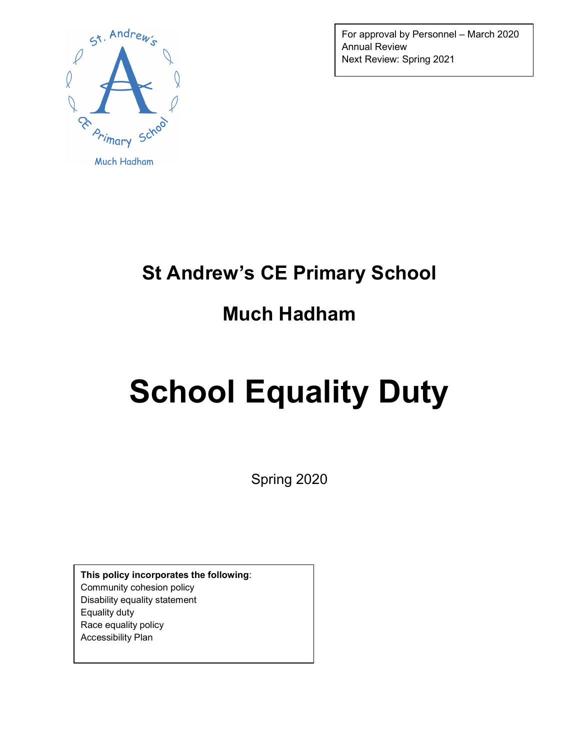

For approval by Personnel – March 2020 Annual Review Next Review: Spring 2021

## St Andrew's CE Primary School

# Much Hadham

# School Equality Duty

Spring 2020

This policy incorporates the following: Community cohesion policy Disability equality statement Equality duty Race equality policy Accessibility Plan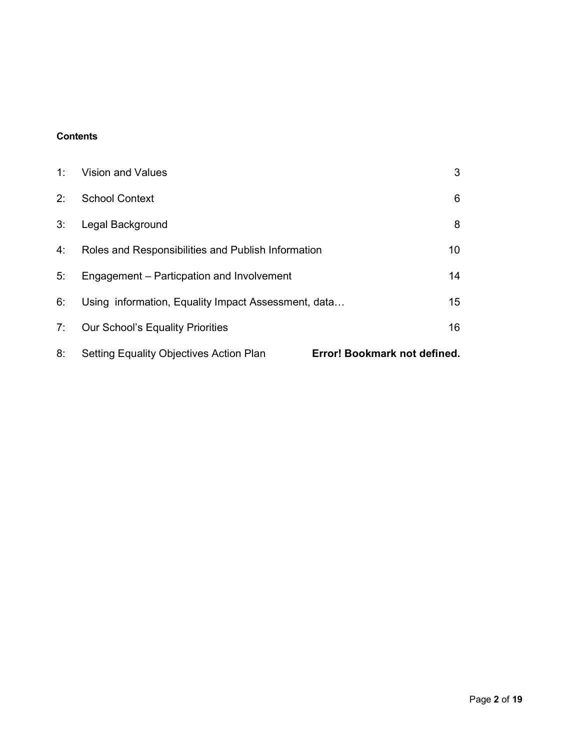#### **Contents**

| 8: | <b>Setting Equality Objectives Action Plan</b>      | Error! Bookmark not defined. |
|----|-----------------------------------------------------|------------------------------|
| 7: | <b>Our School's Equality Priorities</b>             | 16                           |
| 6: | Using information, Equality Impact Assessment, data | 15 <sup>15</sup>             |
| 5: | Engagement - Particpation and Involvement           | 14                           |
| 4: | Roles and Responsibilities and Publish Information  | 10                           |
| 3: | Legal Background                                    | 8                            |
| 2: | <b>School Context</b>                               | 6                            |
| 1: | <b>Vision and Values</b>                            | 3                            |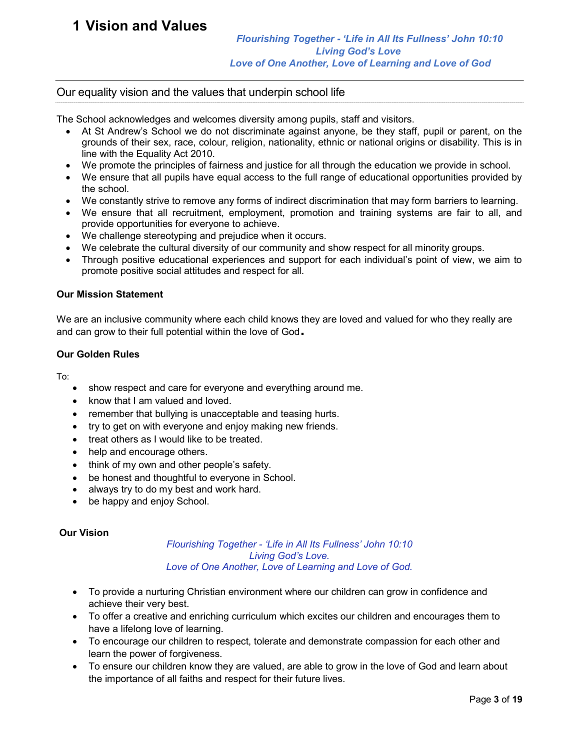## 1 Vision and Values

#### Our equality vision and the values that underpin school life

The School acknowledges and welcomes diversity among pupils, staff and visitors.

- At St Andrew's School we do not discriminate against anyone, be they staff, pupil or parent, on the grounds of their sex, race, colour, religion, nationality, ethnic or national origins or disability. This is in line with the Equality Act 2010.
- We promote the principles of fairness and justice for all through the education we provide in school.
- We ensure that all pupils have equal access to the full range of educational opportunities provided by the school.
- We constantly strive to remove any forms of indirect discrimination that may form barriers to learning.
- We ensure that all recruitment, employment, promotion and training systems are fair to all, and provide opportunities for everyone to achieve.
- We challenge stereotyping and prejudice when it occurs.
- We celebrate the cultural diversity of our community and show respect for all minority groups.
- Through positive educational experiences and support for each individual's point of view, we aim to promote positive social attitudes and respect for all.

#### Our Mission Statement

We are an inclusive community where each child knows they are loved and valued for who they really are and can grow to their full potential within the love of God.

#### Our Golden Rules

To:

- show respect and care for everyone and everything around me.
- know that I am valued and loved.
- remember that bullying is unacceptable and teasing hurts.
- try to get on with everyone and enjoy making new friends.
- treat others as I would like to be treated.
- help and encourage others.
- think of my own and other people's safety.
- be honest and thoughtful to everyone in School.
- always try to do my best and work hard.
- be happy and enjoy School.

#### Our Vision

#### Flourishing Together - 'Life in All Its Fullness' John 10:10 Living God's Love. Love of One Another, Love of Learning and Love of God.

- To provide a nurturing Christian environment where our children can grow in confidence and achieve their very best.
- To offer a creative and enriching curriculum which excites our children and encourages them to have a lifelong love of learning.
- To encourage our children to respect, tolerate and demonstrate compassion for each other and learn the power of forgiveness.
- To ensure our children know they are valued, are able to grow in the love of God and learn about the importance of all faiths and respect for their future lives.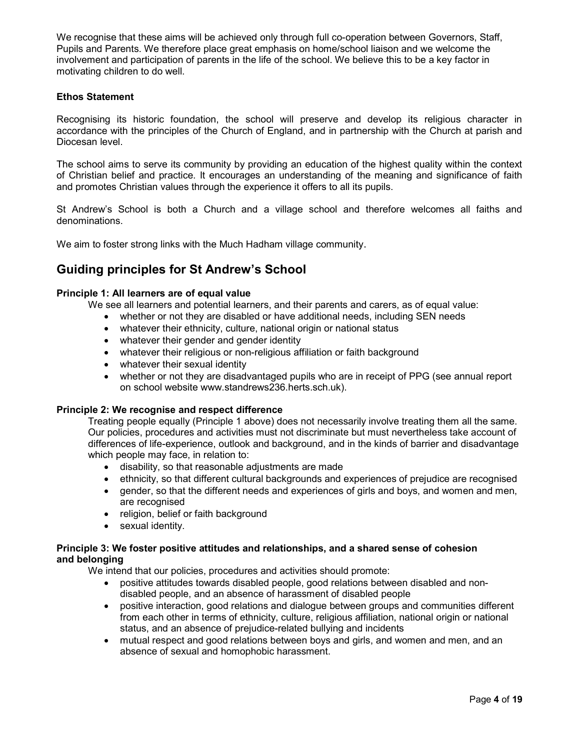We recognise that these aims will be achieved only through full co-operation between Governors, Staff, Pupils and Parents. We therefore place great emphasis on home/school liaison and we welcome the involvement and participation of parents in the life of the school. We believe this to be a key factor in motivating children to do well.

#### Ethos Statement

Recognising its historic foundation, the school will preserve and develop its religious character in accordance with the principles of the Church of England, and in partnership with the Church at parish and Diocesan level.

The school aims to serve its community by providing an education of the highest quality within the context of Christian belief and practice. It encourages an understanding of the meaning and significance of faith and promotes Christian values through the experience it offers to all its pupils.

St Andrew's School is both a Church and a village school and therefore welcomes all faiths and denominations.

We aim to foster strong links with the Much Hadham village community.

### Guiding principles for St Andrew's School

#### Principle 1: All learners are of equal value

We see all learners and potential learners, and their parents and carers, as of equal value:

- whether or not they are disabled or have additional needs, including SEN needs
- whatever their ethnicity, culture, national origin or national status
- whatever their gender and gender identity
- whatever their religious or non-religious affiliation or faith background
- whatever their sexual identity
- whether or not they are disadvantaged pupils who are in receipt of PPG (see annual report on school website www.standrews236.herts.sch.uk).

#### Principle 2: We recognise and respect difference

Treating people equally (Principle 1 above) does not necessarily involve treating them all the same. Our policies, procedures and activities must not discriminate but must nevertheless take account of differences of life-experience, outlook and background, and in the kinds of barrier and disadvantage which people may face, in relation to:

- disability, so that reasonable adjustments are made
- ethnicity, so that different cultural backgrounds and experiences of prejudice are recognised
- gender, so that the different needs and experiences of girls and boys, and women and men, are recognised
- religion, belief or faith background
- sexual identity.

#### Principle 3: We foster positive attitudes and relationships, and a shared sense of cohesion and belonging

We intend that our policies, procedures and activities should promote:

- positive attitudes towards disabled people, good relations between disabled and nondisabled people, and an absence of harassment of disabled people
- positive interaction, good relations and dialogue between groups and communities different from each other in terms of ethnicity, culture, religious affiliation, national origin or national status, and an absence of prejudice-related bullying and incidents
- mutual respect and good relations between boys and girls, and women and men, and an absence of sexual and homophobic harassment.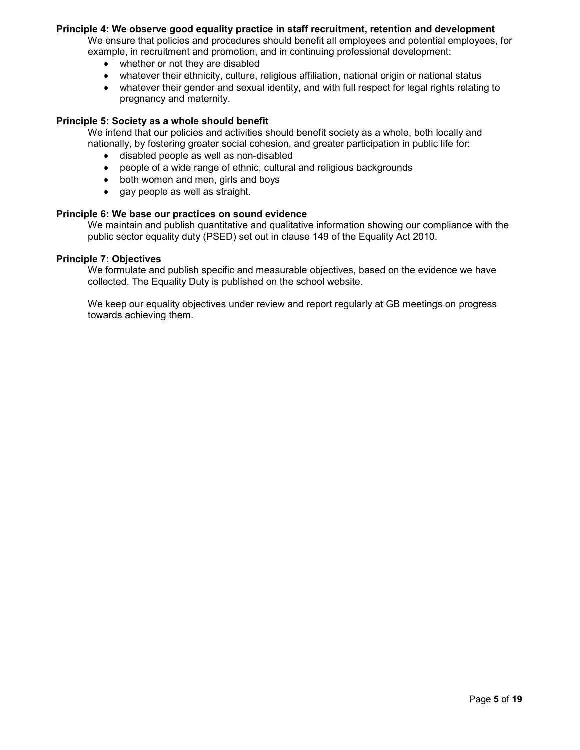#### Principle 4: We observe good equality practice in staff recruitment, retention and development

We ensure that policies and procedures should benefit all employees and potential employees, for example, in recruitment and promotion, and in continuing professional development:

- whether or not they are disabled
- whatever their ethnicity, culture, religious affiliation, national origin or national status
- whatever their gender and sexual identity, and with full respect for legal rights relating to pregnancy and maternity.

#### Principle 5: Society as a whole should benefit

We intend that our policies and activities should benefit society as a whole, both locally and nationally, by fostering greater social cohesion, and greater participation in public life for:

- disabled people as well as non-disabled
- people of a wide range of ethnic, cultural and religious backgrounds
- both women and men, girls and boys
- gay people as well as straight.

#### Principle 6: We base our practices on sound evidence

We maintain and publish quantitative and qualitative information showing our compliance with the public sector equality duty (PSED) set out in clause 149 of the Equality Act 2010.

#### Principle 7: Objectives

We formulate and publish specific and measurable objectives, based on the evidence we have collected. The Equality Duty is published on the school website.

We keep our equality objectives under review and report regularly at GB meetings on progress towards achieving them.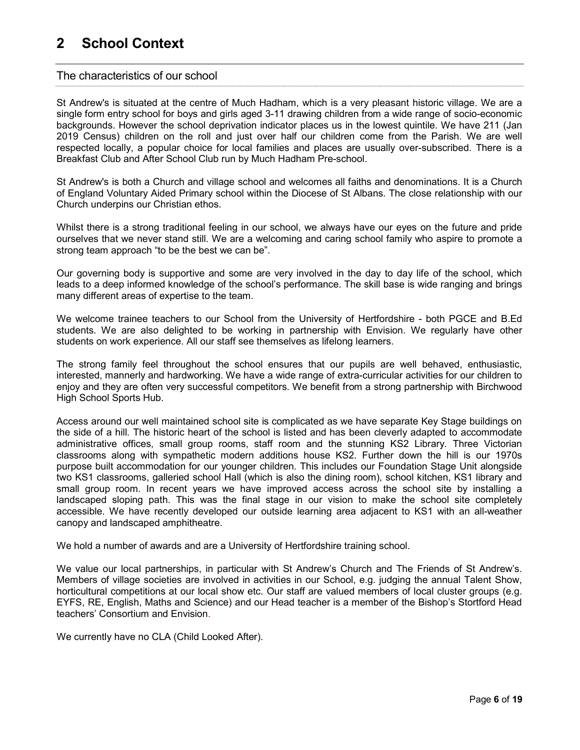## 2 School Context

#### The characteristics of our school

St Andrew's is situated at the centre of Much Hadham, which is a very pleasant historic village. We are a single form entry school for boys and girls aged 3-11 drawing children from a wide range of socio-economic backgrounds. However the school deprivation indicator places us in the lowest quintile. We have 211 (Jan 2019 Census) children on the roll and just over half our children come from the Parish. We are well respected locally, a popular choice for local families and places are usually over-subscribed. There is a Breakfast Club and After School Club run by Much Hadham Pre-school.

St Andrew's is both a Church and village school and welcomes all faiths and denominations. It is a Church of England Voluntary Aided Primary school within the Diocese of St Albans. The close relationship with our Church underpins our Christian ethos.

Whilst there is a strong traditional feeling in our school, we always have our eyes on the future and pride ourselves that we never stand still. We are a welcoming and caring school family who aspire to promote a strong team approach "to be the best we can be".

Our governing body is supportive and some are very involved in the day to day life of the school, which leads to a deep informed knowledge of the school's performance. The skill base is wide ranging and brings many different areas of expertise to the team.

We welcome trainee teachers to our School from the University of Hertfordshire - both PGCE and B.Ed students. We are also delighted to be working in partnership with Envision. We regularly have other students on work experience. All our staff see themselves as lifelong learners.

The strong family feel throughout the school ensures that our pupils are well behaved, enthusiastic, interested, mannerly and hardworking. We have a wide range of extra-curricular activities for our children to enjoy and they are often very successful competitors. We benefit from a strong partnership with Birchwood High School Sports Hub.

Access around our well maintained school site is complicated as we have separate Key Stage buildings on the side of a hill. The historic heart of the school is listed and has been cleverly adapted to accommodate administrative offices, small group rooms, staff room and the stunning KS2 Library. Three Victorian classrooms along with sympathetic modern additions house KS2. Further down the hill is our 1970s purpose built accommodation for our younger children. This includes our Foundation Stage Unit alongside two KS1 classrooms, galleried school Hall (which is also the dining room), school kitchen, KS1 library and small group room. In recent years we have improved access across the school site by installing a landscaped sloping path. This was the final stage in our vision to make the school site completely accessible. We have recently developed our outside learning area adjacent to KS1 with an all-weather canopy and landscaped amphitheatre.

We hold a number of awards and are a University of Hertfordshire training school.

We value our local partnerships, in particular with St Andrew's Church and The Friends of St Andrew's. Members of village societies are involved in activities in our School, e.g. judging the annual Talent Show, horticultural competitions at our local show etc. Our staff are valued members of local cluster groups (e.g. EYFS, RE, English, Maths and Science) and our Head teacher is a member of the Bishop's Stortford Head teachers' Consortium and Envision.

We currently have no CLA (Child Looked After).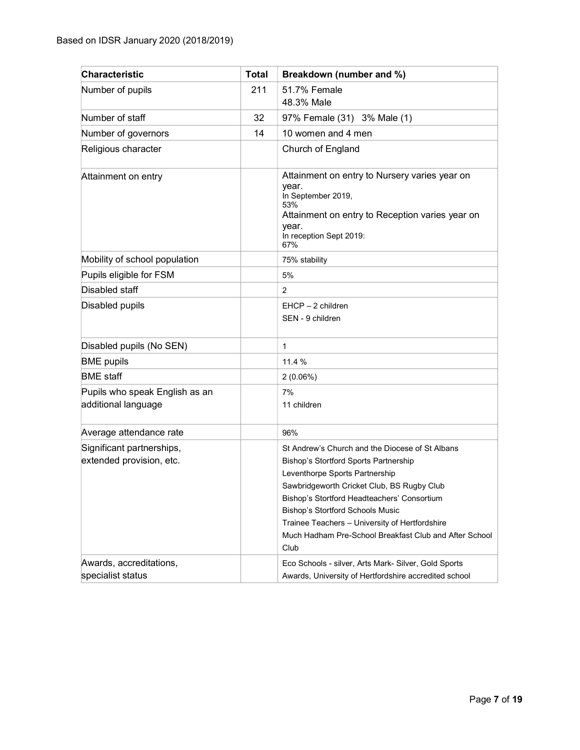| <b>Characteristic</b>                                 | <b>Total</b> | Breakdown (number and %)                                                                                                                                                                                                                                                                                                                                                        |
|-------------------------------------------------------|--------------|---------------------------------------------------------------------------------------------------------------------------------------------------------------------------------------------------------------------------------------------------------------------------------------------------------------------------------------------------------------------------------|
| Number of pupils                                      | 211          | 51.7% Female<br>48.3% Male                                                                                                                                                                                                                                                                                                                                                      |
| Number of staff                                       | 32           | 97% Female (31) 3% Male (1)                                                                                                                                                                                                                                                                                                                                                     |
| Number of governors                                   | 14           | 10 women and 4 men                                                                                                                                                                                                                                                                                                                                                              |
| Religious character                                   |              | Church of England                                                                                                                                                                                                                                                                                                                                                               |
| Attainment on entry                                   |              | Attainment on entry to Nursery varies year on<br>year.<br>In September 2019,<br>53%<br>Attainment on entry to Reception varies year on<br>year.<br>In reception Sept 2019:<br>67%                                                                                                                                                                                               |
| Mobility of school population                         |              | 75% stability                                                                                                                                                                                                                                                                                                                                                                   |
| Pupils eligible for FSM                               |              | 5%                                                                                                                                                                                                                                                                                                                                                                              |
| Disabled staff                                        |              | $\overline{2}$                                                                                                                                                                                                                                                                                                                                                                  |
| Disabled pupils                                       |              | $EHCP - 2$ children<br>SEN - 9 children                                                                                                                                                                                                                                                                                                                                         |
| Disabled pupils (No SEN)                              |              | 1                                                                                                                                                                                                                                                                                                                                                                               |
| <b>BME</b> pupils                                     |              | 11.4 %                                                                                                                                                                                                                                                                                                                                                                          |
| <b>BME</b> staff                                      |              | 2(0.06%)                                                                                                                                                                                                                                                                                                                                                                        |
| Pupils who speak English as an<br>additional language |              | 7%<br>11 children                                                                                                                                                                                                                                                                                                                                                               |
| Average attendance rate                               |              | 96%                                                                                                                                                                                                                                                                                                                                                                             |
| Significant partnerships,<br>extended provision, etc. |              | St Andrew's Church and the Diocese of St Albans<br>Bishop's Stortford Sports Partnership<br>Leventhorpe Sports Partnership<br>Sawbridgeworth Cricket Club, BS Rugby Club<br>Bishop's Stortford Headteachers' Consortium<br>Bishop's Stortford Schools Music<br>Trainee Teachers - University of Hertfordshire<br>Much Hadham Pre-School Breakfast Club and After School<br>Club |
| Awards, accreditations,<br>specialist status          |              | Eco Schools - silver, Arts Mark- Silver, Gold Sports<br>Awards, University of Hertfordshire accredited school                                                                                                                                                                                                                                                                   |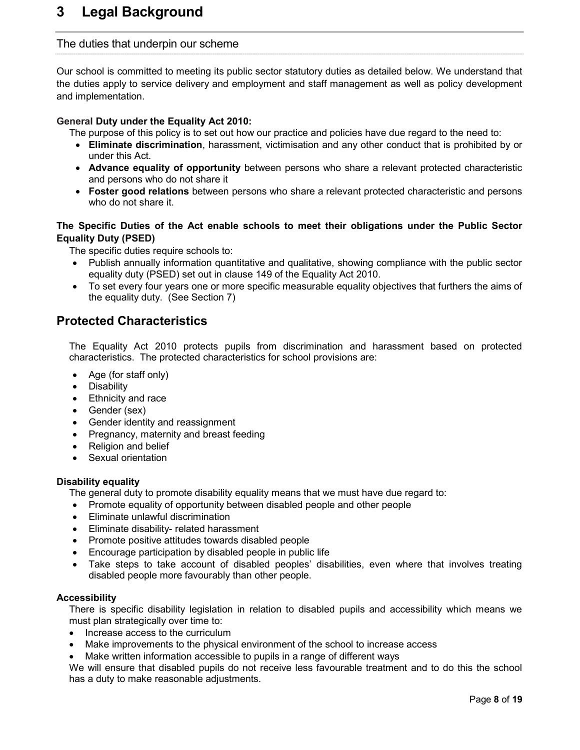## 3 Legal Background

#### The duties that underpin our scheme

Our school is committed to meeting its public sector statutory duties as detailed below. We understand that the duties apply to service delivery and employment and staff management as well as policy development and implementation.

#### General Duty under the Equality Act 2010:

The purpose of this policy is to set out how our practice and policies have due regard to the need to:

- Eliminate discrimination, harassment, victimisation and any other conduct that is prohibited by or under this Act.
- Advance equality of opportunity between persons who share a relevant protected characteristic and persons who do not share it
- Foster good relations between persons who share a relevant protected characteristic and persons who do not share it.

#### The Specific Duties of the Act enable schools to meet their obligations under the Public Sector Equality Duty (PSED)

The specific duties require schools to:

- Publish annually information quantitative and qualitative, showing compliance with the public sector equality duty (PSED) set out in clause 149 of the Equality Act 2010.
- To set every four years one or more specific measurable equality objectives that furthers the aims of the equality duty. (See Section 7)

#### Protected Characteristics

The Equality Act 2010 protects pupils from discrimination and harassment based on protected characteristics. The protected characteristics for school provisions are:

- Age (for staff only)
- Disability
- Ethnicity and race
- Gender (sex)
- Gender identity and reassignment
- Pregnancy, maternity and breast feeding
- Religion and belief
- Sexual orientation

#### Disability equality

The general duty to promote disability equality means that we must have due regard to:

- Promote equality of opportunity between disabled people and other people
- Eliminate unlawful discrimination
- Eliminate disability- related harassment
- Promote positive attitudes towards disabled people
- Encourage participation by disabled people in public life
- Take steps to take account of disabled peoples' disabilities, even where that involves treating disabled people more favourably than other people.

#### Accessibility

There is specific disability legislation in relation to disabled pupils and accessibility which means we must plan strategically over time to:

- Increase access to the curriculum
- Make improvements to the physical environment of the school to increase access
- Make written information accessible to pupils in a range of different ways

We will ensure that disabled pupils do not receive less favourable treatment and to do this the school has a duty to make reasonable adjustments.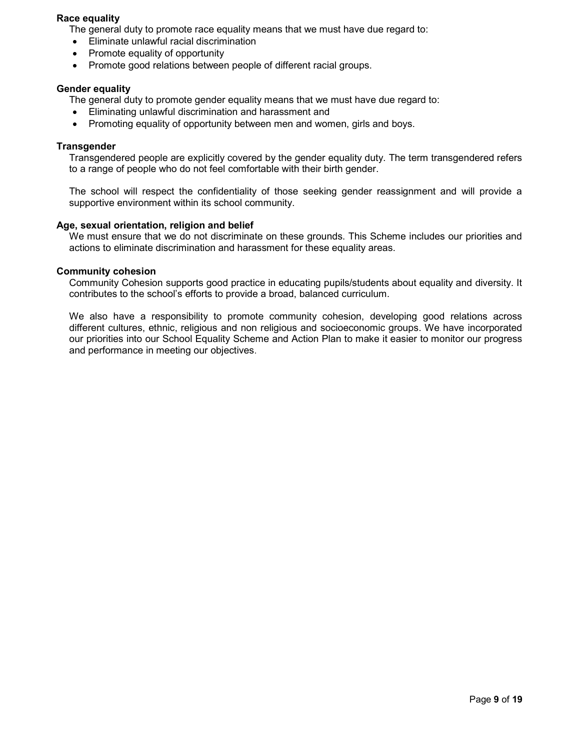#### Race equality

The general duty to promote race equality means that we must have due regard to:

- Eliminate unlawful racial discrimination
- Promote equality of opportunity
- Promote good relations between people of different racial groups.

#### Gender equality

The general duty to promote gender equality means that we must have due regard to:

- Eliminating unlawful discrimination and harassment and
- Promoting equality of opportunity between men and women, girls and boys.

#### **Transgender**

Transgendered people are explicitly covered by the gender equality duty. The term transgendered refers to a range of people who do not feel comfortable with their birth gender.

The school will respect the confidentiality of those seeking gender reassignment and will provide a supportive environment within its school community.

#### Age, sexual orientation, religion and belief

We must ensure that we do not discriminate on these grounds. This Scheme includes our priorities and actions to eliminate discrimination and harassment for these equality areas.

#### Community cohesion

Community Cohesion supports good practice in educating pupils/students about equality and diversity. It contributes to the school's efforts to provide a broad, balanced curriculum.

We also have a responsibility to promote community cohesion, developing good relations across different cultures, ethnic, religious and non religious and socioeconomic groups. We have incorporated our priorities into our School Equality Scheme and Action Plan to make it easier to monitor our progress and performance in meeting our objectives.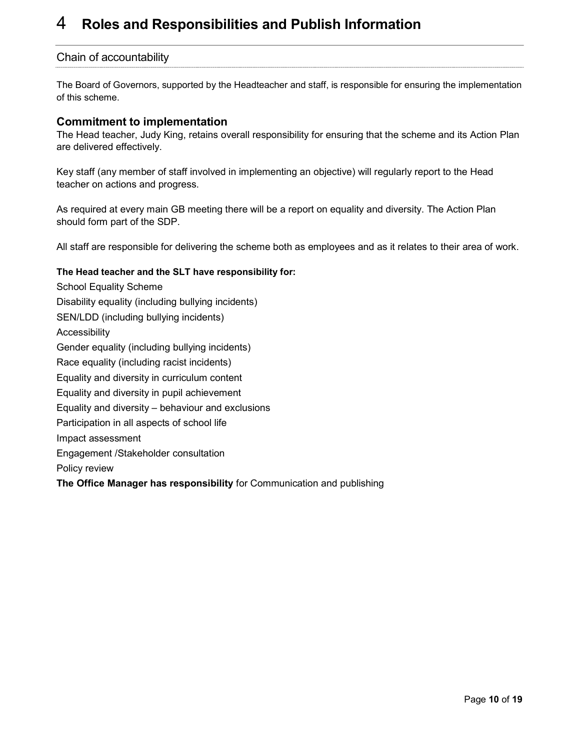## 4 Roles and Responsibilities and Publish Information

#### Chain of accountability

The Board of Governors, supported by the Headteacher and staff, is responsible for ensuring the implementation of this scheme.

#### Commitment to implementation

The Head teacher, Judy King, retains overall responsibility for ensuring that the scheme and its Action Plan are delivered effectively.

Key staff (any member of staff involved in implementing an objective) will regularly report to the Head teacher on actions and progress.

As required at every main GB meeting there will be a report on equality and diversity. The Action Plan should form part of the SDP.

All staff are responsible for delivering the scheme both as employees and as it relates to their area of work.

#### The Head teacher and the SLT have responsibility for:

School Equality Scheme Disability equality (including bullying incidents) SEN/LDD (including bullying incidents) Accessibility Gender equality (including bullying incidents) Race equality (including racist incidents) Equality and diversity in curriculum content Equality and diversity in pupil achievement Equality and diversity – behaviour and exclusions Participation in all aspects of school life Impact assessment Engagement /Stakeholder consultation Policy review The Office Manager has responsibility for Communication and publishing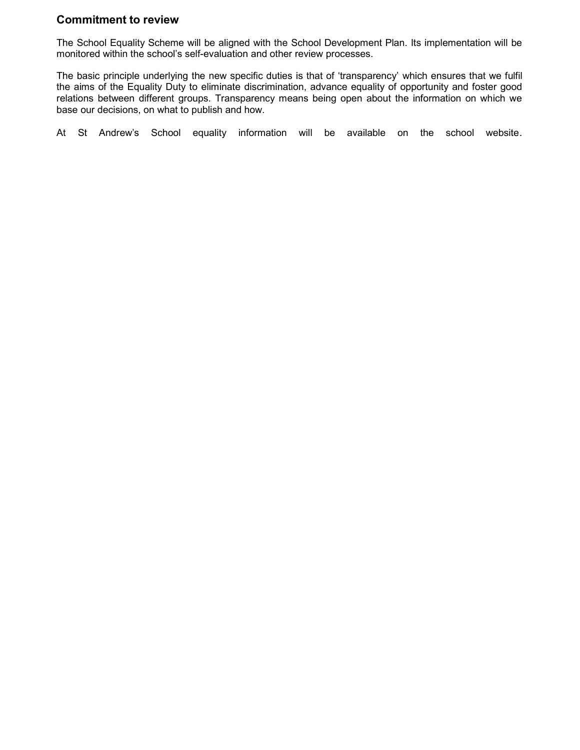#### Commitment to review

The School Equality Scheme will be aligned with the School Development Plan. Its implementation will be monitored within the school's self-evaluation and other review processes.

The basic principle underlying the new specific duties is that of 'transparency' which ensures that we fulfil the aims of the Equality Duty to eliminate discrimination, advance equality of opportunity and foster good relations between different groups. Transparency means being open about the information on which we base our decisions, on what to publish and how.

At St Andrew's School equality information will be available on the school website.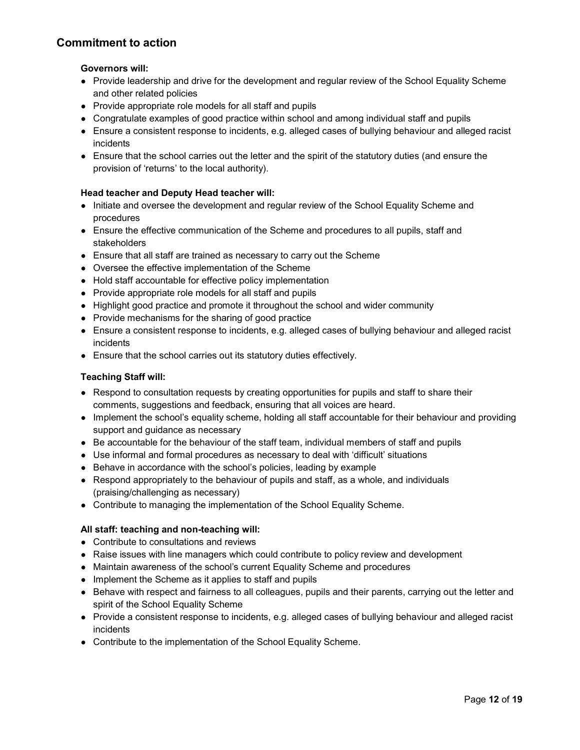#### Commitment to action

#### Governors will:

- Provide leadership and drive for the development and regular review of the School Equality Scheme and other related policies
- Provide appropriate role models for all staff and pupils
- Congratulate examples of good practice within school and among individual staff and pupils
- Ensure a consistent response to incidents, e.g. alleged cases of bullying behaviour and alleged racist incidents
- Ensure that the school carries out the letter and the spirit of the statutory duties (and ensure the provision of 'returns' to the local authority).

#### Head teacher and Deputy Head teacher will:

- Initiate and oversee the development and regular review of the School Equality Scheme and procedures
- Ensure the effective communication of the Scheme and procedures to all pupils, staff and stakeholders
- Ensure that all staff are trained as necessary to carry out the Scheme
- Oversee the effective implementation of the Scheme
- Hold staff accountable for effective policy implementation
- Provide appropriate role models for all staff and pupils
- Highlight good practice and promote it throughout the school and wider community
- Provide mechanisms for the sharing of good practice
- Ensure a consistent response to incidents, e.g. alleged cases of bullying behaviour and alleged racist incidents
- Ensure that the school carries out its statutory duties effectively.

#### Teaching Staff will:

- Respond to consultation requests by creating opportunities for pupils and staff to share their comments, suggestions and feedback, ensuring that all voices are heard.
- Implement the school's equality scheme, holding all staff accountable for their behaviour and providing support and guidance as necessary
- Be accountable for the behaviour of the staff team, individual members of staff and pupils
- Use informal and formal procedures as necessary to deal with 'difficult' situations
- Behave in accordance with the school's policies, leading by example
- Respond appropriately to the behaviour of pupils and staff, as a whole, and individuals (praising/challenging as necessary)
- Contribute to managing the implementation of the School Equality Scheme.

#### All staff: teaching and non-teaching will:

- Contribute to consultations and reviews
- Raise issues with line managers which could contribute to policy review and development
- Maintain awareness of the school's current Equality Scheme and procedures
- Implement the Scheme as it applies to staff and pupils
- Behave with respect and fairness to all colleagues, pupils and their parents, carrying out the letter and spirit of the School Equality Scheme
- Provide a consistent response to incidents, e.g. alleged cases of bullying behaviour and alleged racist incidents
- Contribute to the implementation of the School Equality Scheme.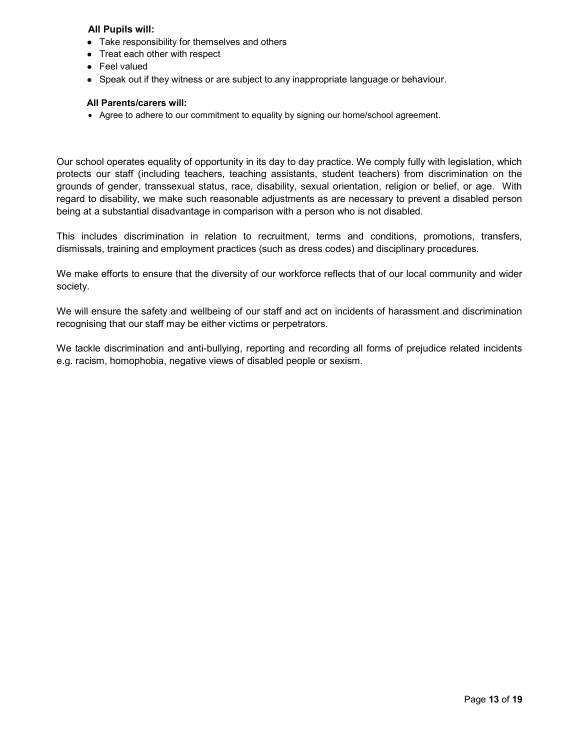#### All Pupils will:

- Take responsibility for themselves and others
- Treat each other with respect
- Feel valued
- Speak out if they witness or are subject to any inappropriate language or behaviour.

#### All Parents/carers will:

Agree to adhere to our commitment to equality by signing our home/school agreement.

Our school operates equality of opportunity in its day to day practice. We comply fully with legislation, which protects our staff (including teachers, teaching assistants, student teachers) from discrimination on the grounds of gender, transsexual status, race, disability, sexual orientation, religion or belief, or age. With regard to disability, we make such reasonable adjustments as are necessary to prevent a disabled person being at a substantial disadvantage in comparison with a person who is not disabled.

This includes discrimination in relation to recruitment, terms and conditions, promotions, transfers, dismissals, training and employment practices (such as dress codes) and disciplinary procedures.

We make efforts to ensure that the diversity of our workforce reflects that of our local community and wider society.

We will ensure the safety and wellbeing of our staff and act on incidents of harassment and discrimination recognising that our staff may be either victims or perpetrators.

We tackle discrimination and anti-bullying, reporting and recording all forms of prejudice related incidents e.g. racism, homophobia, negative views of disabled people or sexism.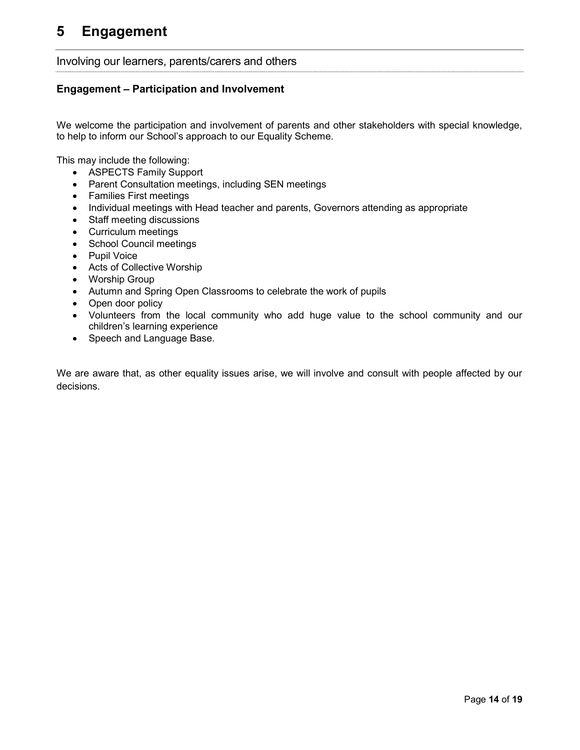#### Involving our learners, parents/carers and others

#### Engagement – Participation and Involvement

We welcome the participation and involvement of parents and other stakeholders with special knowledge, to help to inform our School's approach to our Equality Scheme.

This may include the following:

- ASPECTS Family Support
- Parent Consultation meetings, including SEN meetings
- Families First meetings
- Individual meetings with Head teacher and parents, Governors attending as appropriate
- Staff meeting discussions
- Curriculum meetings
- School Council meetings
- Pupil Voice
- Acts of Collective Worship
- Worship Group
- Autumn and Spring Open Classrooms to celebrate the work of pupils
- Open door policy
- Volunteers from the local community who add huge value to the school community and our children's learning experience
- Speech and Language Base.

We are aware that, as other equality issues arise, we will involve and consult with people affected by our decisions.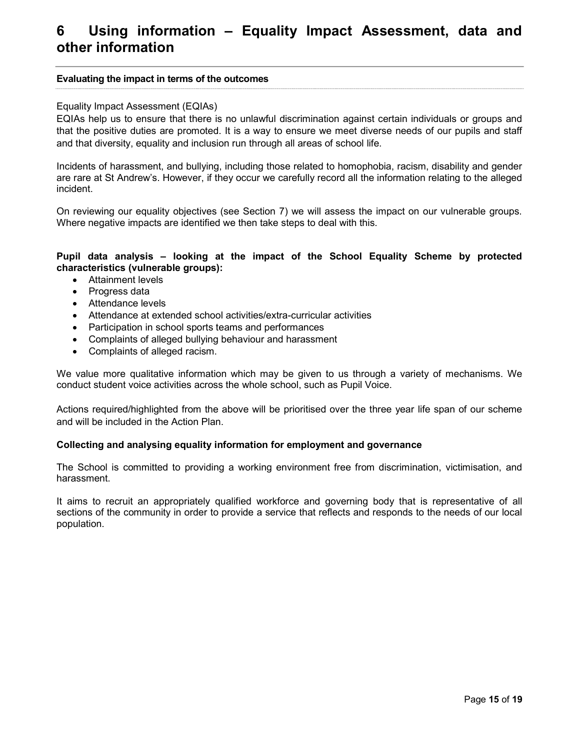## 6 Using information – Equality Impact Assessment, data and other information

#### Evaluating the impact in terms of the outcomes

#### Equality Impact Assessment (EQIAs)

EQIAs help us to ensure that there is no unlawful discrimination against certain individuals or groups and that the positive duties are promoted. It is a way to ensure we meet diverse needs of our pupils and staff and that diversity, equality and inclusion run through all areas of school life.

Incidents of harassment, and bullying, including those related to homophobia, racism, disability and gender are rare at St Andrew's. However, if they occur we carefully record all the information relating to the alleged incident.

On reviewing our equality objectives (see Section 7) we will assess the impact on our vulnerable groups. Where negative impacts are identified we then take steps to deal with this.

#### Pupil data analysis – looking at the impact of the School Equality Scheme by protected characteristics (vulnerable groups):

- Attainment levels
- Progress data
- Attendance levels
- Attendance at extended school activities/extra-curricular activities
- Participation in school sports teams and performances
- Complaints of alleged bullying behaviour and harassment
- Complaints of alleged racism.

We value more qualitative information which may be given to us through a variety of mechanisms. We conduct student voice activities across the whole school, such as Pupil Voice.

Actions required/highlighted from the above will be prioritised over the three year life span of our scheme and will be included in the Action Plan.

#### Collecting and analysing equality information for employment and governance

The School is committed to providing a working environment free from discrimination, victimisation, and harassment.

It aims to recruit an appropriately qualified workforce and governing body that is representative of all sections of the community in order to provide a service that reflects and responds to the needs of our local population.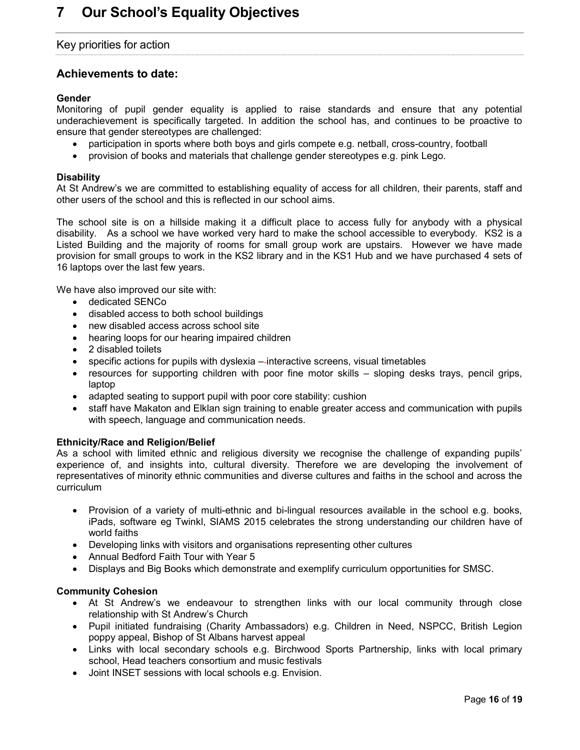#### Key priorities for action

#### Achievements to date:

#### Gender

Monitoring of pupil gender equality is applied to raise standards and ensure that any potential underachievement is specifically targeted. In addition the school has, and continues to be proactive to ensure that gender stereotypes are challenged:

- participation in sports where both boys and girls compete e.g. netball, cross-country, football
- provision of books and materials that challenge gender stereotypes e.g. pink Lego.

#### **Disability**

At St Andrew's we are committed to establishing equality of access for all children, their parents, staff and other users of the school and this is reflected in our school aims.

The school site is on a hillside making it a difficult place to access fully for anybody with a physical disability. As a school we have worked very hard to make the school accessible to everybody. KS2 is a Listed Building and the majority of rooms for small group work are upstairs. However we have made provision for small groups to work in the KS2 library and in the KS1 Hub and we have purchased 4 sets of 16 laptops over the last few years.

We have also improved our site with:

- dedicated SENCo
- disabled access to both school buildings
- new disabled access across school site
- hearing loops for our hearing impaired children
- 2 disabled toilets
- specific actions for pupils with dyslexia interactive screens, visual timetables
- resources for supporting children with poor fine motor skills sloping desks trays, pencil grips, laptop
- adapted seating to support pupil with poor core stability: cushion
- staff have Makaton and Elklan sign training to enable greater access and communication with pupils with speech, language and communication needs.

#### Ethnicity/Race and Religion/Belief

As a school with limited ethnic and religious diversity we recognise the challenge of expanding pupils' experience of, and insights into, cultural diversity. Therefore we are developing the involvement of representatives of minority ethnic communities and diverse cultures and faiths in the school and across the curriculum

- Provision of a variety of multi-ethnic and bi-lingual resources available in the school e.g. books, iPads, software eg Twinkl, SIAMS 2015 celebrates the strong understanding our children have of world faiths
- Developing links with visitors and organisations representing other cultures
- Annual Bedford Faith Tour with Year 5
- Displays and Big Books which demonstrate and exemplify curriculum opportunities for SMSC.

#### Community Cohesion

- At St Andrew's we endeavour to strengthen links with our local community through close relationship with St Andrew's Church
- Pupil initiated fundraising (Charity Ambassadors) e.g. Children in Need, NSPCC, British Legion poppy appeal, Bishop of St Albans harvest appeal
- Links with local secondary schools e.g. Birchwood Sports Partnership, links with local primary school, Head teachers consortium and music festivals
- Joint INSET sessions with local schools e.g. Envision.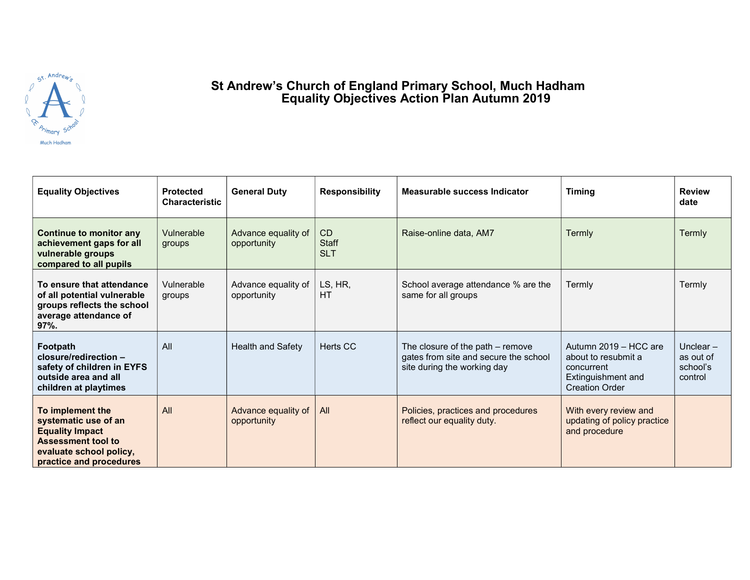

#### St Andrew's Church of England Primary School, Much Hadham Equality Objectives Action Plan Autumn 2019

| <b>Equality Objectives</b>                                                                                                                            | <b>Protected</b><br><b>Characteristic</b> | <b>General Duty</b>                | <b>Responsibility</b>            | Measurable success Indicator                                                                             | <b>Timing</b>                                                                                             | <b>Review</b><br>date                           |
|-------------------------------------------------------------------------------------------------------------------------------------------------------|-------------------------------------------|------------------------------------|----------------------------------|----------------------------------------------------------------------------------------------------------|-----------------------------------------------------------------------------------------------------------|-------------------------------------------------|
| Continue to monitor any<br>achievement gaps for all<br>vulnerable groups<br>compared to all pupils                                                    | Vulnerable<br>groups                      | Advance equality of<br>opportunity | CD<br><b>Staff</b><br><b>SLT</b> | Raise-online data, AM7                                                                                   | <b>Termly</b>                                                                                             | Termly                                          |
| To ensure that attendance<br>of all potential vulnerable<br>groups reflects the school<br>average attendance of<br>$97%$ .                            | Vulnerable<br>groups                      | Advance equality of<br>opportunity | LS, HR,<br><b>HT</b>             | School average attendance % are the<br>same for all groups                                               | Termly                                                                                                    | Termly                                          |
| Footpath<br>closure/redirection -<br>safety of children in EYFS<br>outside area and all<br>children at playtimes                                      | All                                       | Health and Safety                  | Herts CC                         | The closure of the path - remove<br>gates from site and secure the school<br>site during the working day | Autumn 2019 - HCC are<br>about to resubmit a<br>concurrent<br>Extinguishment and<br><b>Creation Order</b> | Unclear $-$<br>as out of<br>school's<br>control |
| To implement the<br>systematic use of an<br><b>Equality Impact</b><br><b>Assessment tool to</b><br>evaluate school policy,<br>practice and procedures | All                                       | Advance equality of<br>opportunity | All                              | Policies, practices and procedures<br>reflect our equality duty.                                         | With every review and<br>updating of policy practice<br>and procedure                                     |                                                 |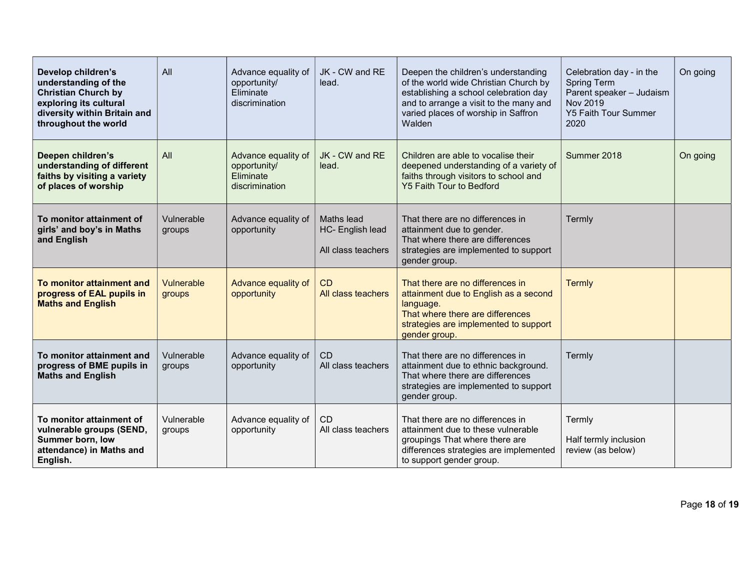| Develop children's<br>understanding of the<br><b>Christian Church by</b><br>exploring its cultural<br>diversity within Britain and<br>throughout the world | All                  | Advance equality of<br>opportunity/<br>Eliminate<br>discrimination | JK - CW and RE<br>lead.                              | Deepen the children's understanding<br>of the world wide Christian Church by<br>establishing a school celebration day<br>and to arrange a visit to the many and<br>varied places of worship in Saffron<br>Walden | Celebration day - in the<br><b>Spring Term</b><br>Parent speaker - Judaism<br>Nov 2019<br><b>Y5 Faith Tour Summer</b><br>2020 | On going |
|------------------------------------------------------------------------------------------------------------------------------------------------------------|----------------------|--------------------------------------------------------------------|------------------------------------------------------|------------------------------------------------------------------------------------------------------------------------------------------------------------------------------------------------------------------|-------------------------------------------------------------------------------------------------------------------------------|----------|
| Deepen children's<br>understanding of different<br>faiths by visiting a variety<br>of places of worship                                                    | All                  | Advance equality of<br>opportunity/<br>Eliminate<br>discrimination | JK - CW and RE<br>lead.                              | Children are able to vocalise their<br>deepened understanding of a variety of<br>faiths through visitors to school and<br>Y5 Faith Tour to Bedford                                                               | Summer 2018                                                                                                                   | On going |
| To monitor attainment of<br>girls' and boy's in Maths<br>and English                                                                                       | Vulnerable<br>groups | Advance equality of<br>opportunity                                 | Maths lead<br>HC- English lead<br>All class teachers | That there are no differences in<br>attainment due to gender.<br>That where there are differences<br>strategies are implemented to support<br>gender group.                                                      | Termly                                                                                                                        |          |
| To monitor attainment and<br>progress of EAL pupils in<br><b>Maths and English</b>                                                                         | Vulnerable<br>groups | Advance equality of<br>opportunity                                 | CD<br>All class teachers                             | That there are no differences in<br>attainment due to English as a second<br>language.<br>That where there are differences<br>strategies are implemented to support<br>gender group.                             | Termly                                                                                                                        |          |
| To monitor attainment and<br>progress of BME pupils in<br><b>Maths and English</b>                                                                         | Vulnerable<br>groups | Advance equality of<br>opportunity                                 | CD<br>All class teachers                             | That there are no differences in<br>attainment due to ethnic background.<br>That where there are differences<br>strategies are implemented to support<br>gender group.                                           | Termly                                                                                                                        |          |
| To monitor attainment of<br>vulnerable groups (SEND,<br>Summer born, low<br>attendance) in Maths and<br>English.                                           | Vulnerable<br>groups | Advance equality of<br>opportunity                                 | CD<br>All class teachers                             | That there are no differences in<br>attainment due to these vulnerable<br>groupings That where there are<br>differences strategies are implemented<br>to support gender group.                                   | Termly<br>Half termly inclusion<br>review (as below)                                                                          |          |